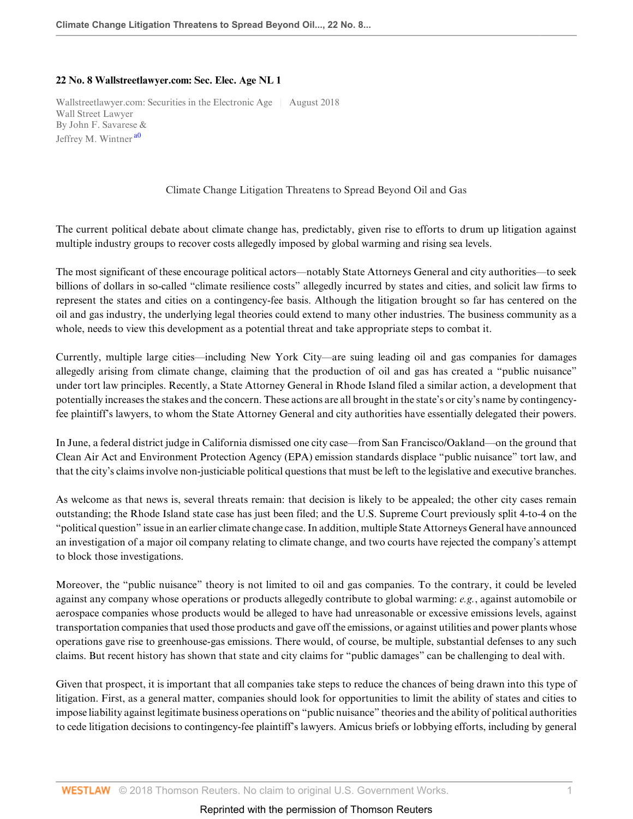## **22 No. 8 Wallstreetlawyer.com: Sec. Elec. Age NL 1**

Wallstreetlawyer.com: Securities in the Electronic Age | August 2018 Wall Street Lawyer By John F. Savarese & Jeffrey M. Wintner<sup>[a0](#page-1-0)</sup>

<span id="page-0-0"></span>Climate Change Litigation Threatens to Spread Beyond Oil and Gas

The current political debate about climate change has, predictably, given rise to efforts to drum up litigation against multiple industry groups to recover costs allegedly imposed by global warming and rising sea levels.

The most significant of these encourage political actors—notably State Attorneys General and city authorities—to seek billions of dollars in so-called "climate resilience costs" allegedly incurred by states and cities, and solicit law firms to represent the states and cities on a contingency-fee basis. Although the litigation brought so far has centered on the oil and gas industry, the underlying legal theories could extend to many other industries. The business community as a whole, needs to view this development as a potential threat and take appropriate steps to combat it.

Currently, multiple large cities—including New York City—are suing leading oil and gas companies for damages allegedly arising from climate change, claiming that the production of oil and gas has created a "public nuisance" under tort law principles. Recently, a State Attorney General in Rhode Island filed a similar action, a development that potentially increases the stakes and the concern. These actions are all brought in the state's or city's name by contingencyfee plaintiff's lawyers, to whom the State Attorney General and city authorities have essentially delegated their powers.

In June, a federal district judge in California dismissed one city case—from San Francisco/Oakland—on the ground that Clean Air Act and Environment Protection Agency (EPA) emission standards displace "public nuisance" tort law, and that the city's claims involve non-justiciable political questions that must be left to the legislative and executive branches.

As welcome as that news is, several threats remain: that decision is likely to be appealed; the other city cases remain outstanding; the Rhode Island state case has just been filed; and the U.S. Supreme Court previously split 4-to-4 on the "political question" issue in an earlier climate change case. In addition, multiple State Attorneys General have announced an investigation of a major oil company relating to climate change, and two courts have rejected the company's attempt to block those investigations.

Moreover, the "public nuisance" theory is not limited to oil and gas companies. To the contrary, it could be leveled against any company whose operations or products allegedly contribute to global warming: *e.g.*, against automobile or aerospace companies whose products would be alleged to have had unreasonable or excessive emissions levels, against transportation companies that used those products and gave off the emissions, or against utilities and power plants whose operations gave rise to greenhouse-gas emissions. There would, of course, be multiple, substantial defenses to any such claims. But recent history has shown that state and city claims for "public damages" can be challenging to deal with.

Given that prospect, it is important that all companies take steps to reduce the chances of being drawn into this type of litigation. First, as a general matter, companies should look for opportunities to limit the ability of states and cities to impose liability against legitimate business operations on "public nuisance" theories and the ability of political authorities to cede litigation decisions to contingency-fee plaintiff's lawyers. Amicus briefs or lobbying efforts, including by general